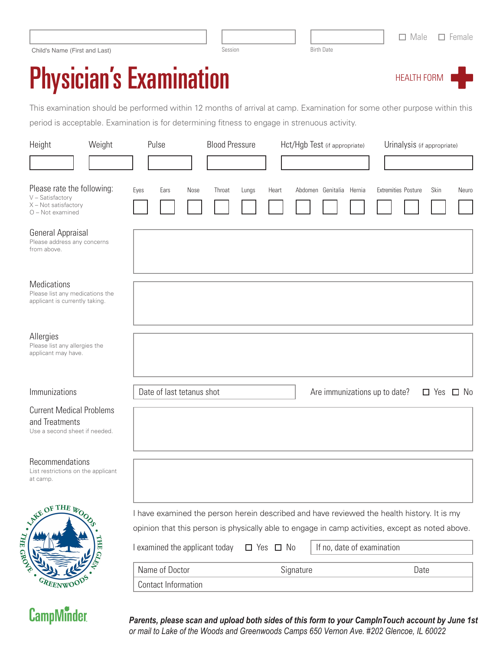| Child's Name (First and Last) | Session | <b>Birth Date</b> |
|-------------------------------|---------|-------------------|
|-------------------------------|---------|-------------------|

**CampMinder** 

## Physician's Examination

This examination should be performed within 12 months of arrival at camp. Examination for some other purpose within this period is acceptable. Examination is for determining fitness to engage in strenuous activity.

| Weight<br>Height                                                                           | Pulse                          | <b>Blood Pressure</b>                                                                                                                                                                          |                      | Hct/Hgb Test (if appropriate) | Urinalysis (if appropriate) |                            |
|--------------------------------------------------------------------------------------------|--------------------------------|------------------------------------------------------------------------------------------------------------------------------------------------------------------------------------------------|----------------------|-------------------------------|-----------------------------|----------------------------|
|                                                                                            |                                |                                                                                                                                                                                                |                      |                               |                             |                            |
| Please rate the following:<br>V - Satisfactory<br>X - Not satisfactory<br>O - Not examined | Eyes<br>Ears<br>Nose           | Throat<br>Lungs                                                                                                                                                                                | Heart                | Abdomen Genitalia Hernia      | Extremities Posture         | Skin<br>Neuro              |
| General Appraisal<br>Please address any concerns<br>from above.                            |                                |                                                                                                                                                                                                |                      |                               |                             |                            |
| <b>Medications</b><br>Please list any medications the<br>applicant is currently taking.    |                                |                                                                                                                                                                                                |                      |                               |                             |                            |
| Allergies<br>Please list any allergies the<br>applicant may have.                          |                                |                                                                                                                                                                                                |                      |                               |                             |                            |
| Immunizations                                                                              | Date of last tetanus shot      |                                                                                                                                                                                                |                      | Are immunizations up to date? |                             | $\Box$ Yes<br>$\square$ No |
| <b>Current Medical Problems</b><br>and Treatments<br>Use a second sheet if needed.         |                                |                                                                                                                                                                                                |                      |                               |                             |                            |
| Recommendations<br>List restrictions on the applicant<br>at camp.                          |                                |                                                                                                                                                                                                |                      |                               |                             |                            |
| LAKE OF THE IPOOL                                                                          |                                | I have examined the person herein described and have reviewed the health history. It is my<br>opinion that this person is physically able to engage in camp activities, except as noted above. |                      |                               |                             |                            |
| THE GROW.<br>THE GLE                                                                       | I examined the applicant today |                                                                                                                                                                                                | $\Box$ Yes $\Box$ No | If no, date of examination    |                             |                            |
|                                                                                            | Name of Doctor                 |                                                                                                                                                                                                | Signature            |                               | Date                        |                            |
| GREENWO                                                                                    | <b>Contact Information</b>     |                                                                                                                                                                                                |                      |                               |                             |                            |

*Parents, please scan and upload both sides of this form to your CampInTouch account by June 1st or mail to Lake of the Woods and Greenwoods Camps 650 Vernon Ave. #202 Glencoe, IL 60022*

**HEALTH FORN**